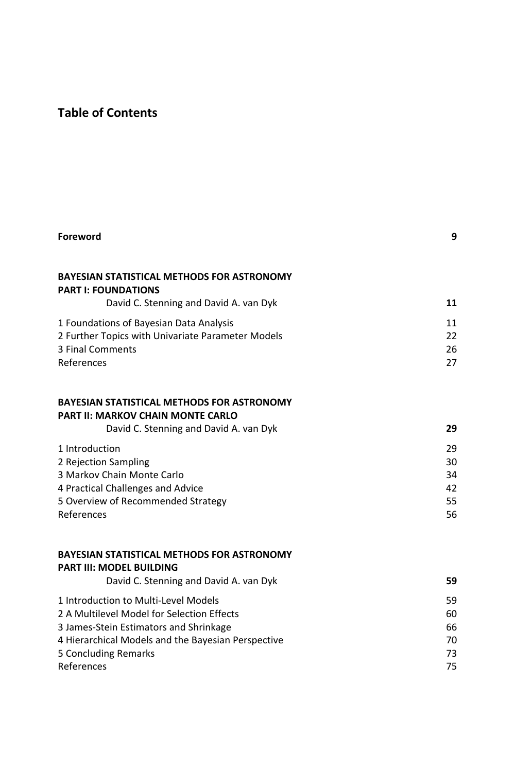## **Table of Contents**

| Foreword                                                                                                                                                                                                                 | 9                                |
|--------------------------------------------------------------------------------------------------------------------------------------------------------------------------------------------------------------------------|----------------------------------|
| <b>BAYESIAN STATISTICAL METHODS FOR ASTRONOMY</b><br><b>PART I: FOUNDATIONS</b><br>David C. Stenning and David A. van Dyk                                                                                                | 11                               |
| 1 Foundations of Bayesian Data Analysis<br>2 Further Topics with Univariate Parameter Models<br>3 Final Comments<br>References                                                                                           | 11<br>22<br>26<br>27             |
| <b>BAYESIAN STATISTICAL METHODS FOR ASTRONOMY</b><br><b>PART II: MARKOV CHAIN MONTE CARLO</b><br>David C. Stenning and David A. van Dyk                                                                                  | 29                               |
| 1 Introduction<br>2 Rejection Sampling<br>3 Markov Chain Monte Carlo<br>4 Practical Challenges and Advice<br>5 Overview of Recommended Strategy<br>References                                                            | 29<br>30<br>34<br>42<br>55<br>56 |
| <b>BAYESIAN STATISTICAL METHODS FOR ASTRONOMY</b><br><b>PART III: MODEL BUILDING</b><br>David C. Stenning and David A. van Dyk                                                                                           | 59                               |
| 1 Introduction to Multi-Level Models<br>2 A Multilevel Model for Selection Effects<br>3 James-Stein Estimators and Shrinkage<br>4 Hierarchical Models and the Bayesian Perspective<br>5 Concluding Remarks<br>References | 59<br>60<br>66<br>70<br>73<br>75 |